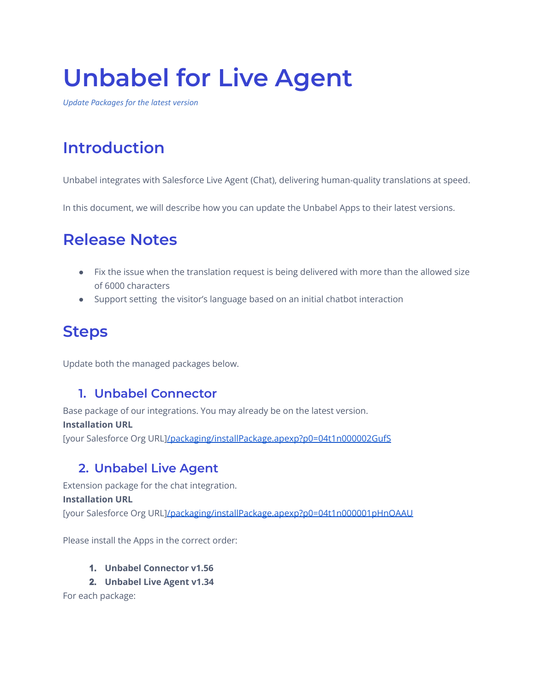# **Unbabel for Live Agent**

*Update Packages for the latest version*

## **Introduction**

Unbabel integrates with Salesforce Live Agent (Chat), delivering human-quality translations at speed.

In this document, we will describe how you can update the Unbabel Apps to their latest versions.

## **Release Notes**

- Fix the issue when the translation request is being delivered with more than the allowed size of 6000 characters
- Support setting the visitor's language based on an initial chatbot interaction

### **Steps**

Update both the managed packages below.

#### **1. Unbabel Connector**

Base package of our integrations. You may already be on the latest version. **Installation URL** [your Salesforce Org URL[\]/packaging/installPackage.apexp?p0=04t1n000002GufS](https://login.salesforce.com/packaging/installPackage.apexp?p0=04t1n000002GufS)

#### **2. Unbabel Live Agent**

Extension package for the chat integration. **Installation URL** [your Salesforce Org URL[\]/packaging/installPackage.apexp?p0=04t1n000001pHnOAAU](https://login.salesforce.com/packaging/installPackage.apexp?p0=04t1n000001pHnOAAU)

Please install the Apps in the correct order:

#### **1. Unbabel Connector v1.56**

**2. Unbabel Live Agent v1.34**

For each package: